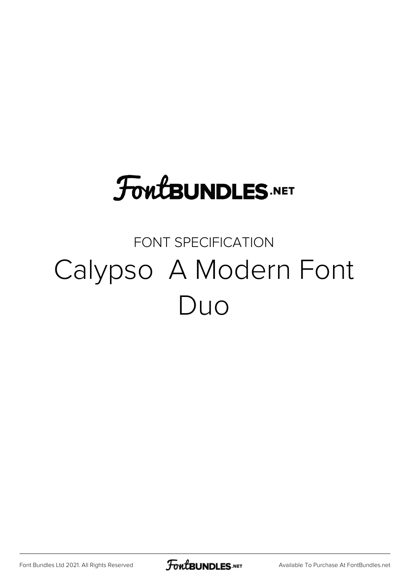# **FoutBUNDLES.NET**

### FONT SPECIFICATION Calypso A Modern Font Duo

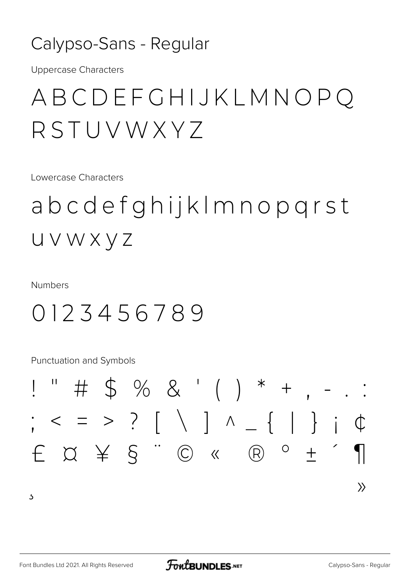#### Calypso-Sans - Regular

**Uppercase Characters** 

### ABCDEFGHIJKLMNOPQ RSTUVWXY7

Lowercase Characters

abcdefghijkImnopgrst UVWXYZ

**Numbers** 

#### 0123456789

Punctuation and Symbols



 $\overline{5}$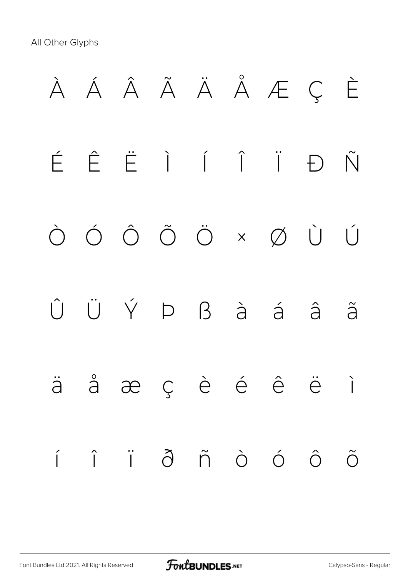All Other Glyphs

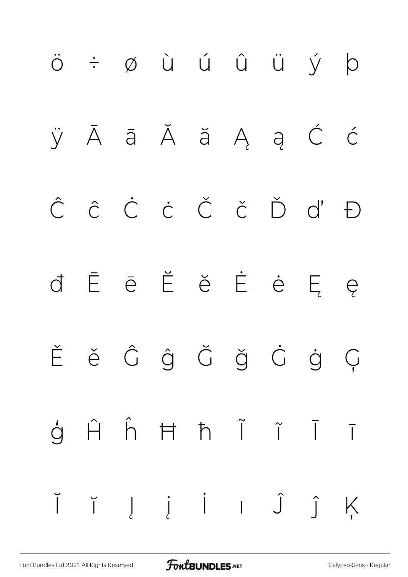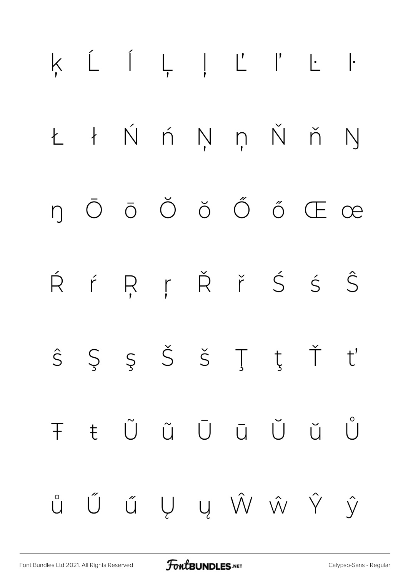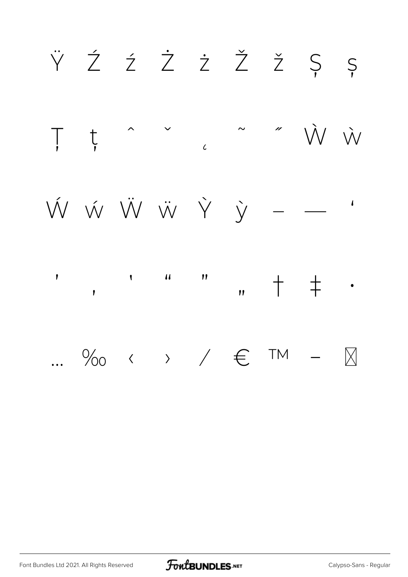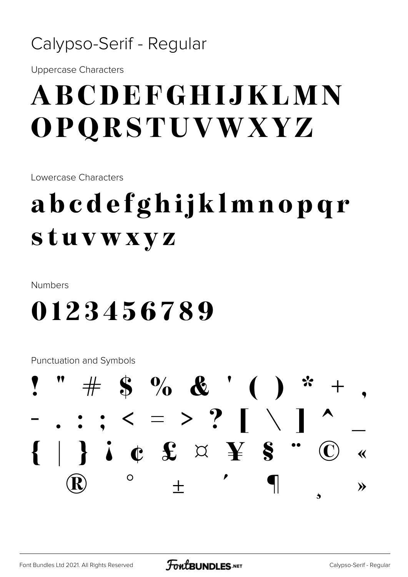#### Calypso-Serif - Regular

**Uppercase Characters** 

## ABCDEFGHIJKLMN OPQRSTUVWXYZ

Lowercase Characters

## abcdefghijklmnopqr stuvwxyz

**Numbers** 

### 0123456789

Punctuation and Symbols

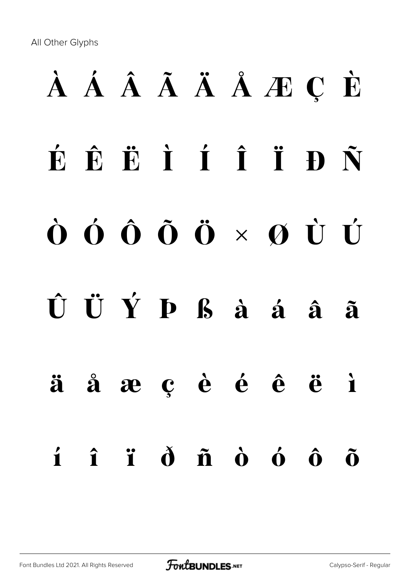All Other Glyphs

# À Á Â Ã Ä Å Æ Ç È É Ê Ë Ì Í Î Ï Ð Ñ Ò Ó Ô Õ Ö × Ø Ù Ú Û Ü Ý Þ ß à á â ã ä å æ ç è é ê ë ì í î ï ð ñ ò ó ô õ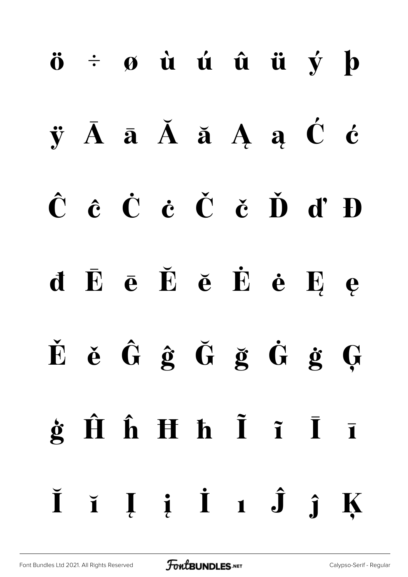# ö ÷ ø ù ú û ü ý þ  $\ddot{y}$   $\bar{A}$   $\bar{a}$   $\dot{A}$   $\ddot{a}$   $A$   $\dot{a}$   $\dot{C}$   $\dot{c}$ Ĉ ĉ Ċ ċ Č č Ď ď Đ đ Ē ē Ĕ ĕ Ė ė Ę ę Ě ě Ĝ ĝ Ğ ğ Ġ ġ Ģ  $\dot{\mathbf{g}}$   $\hat{\mathbf{H}}$   $\hat{\mathbf{h}}$   $\mathbf{H}$   $\dot{\mathbf{h}}$   $\tilde{\mathbf{I}}$   $\tilde{\mathbf{I}}$   $\tilde{\mathbf{I}}$   $\tilde{\mathbf{I}}$ Ĭ ĭ Į į İ ı Ĵ ĵ Ķ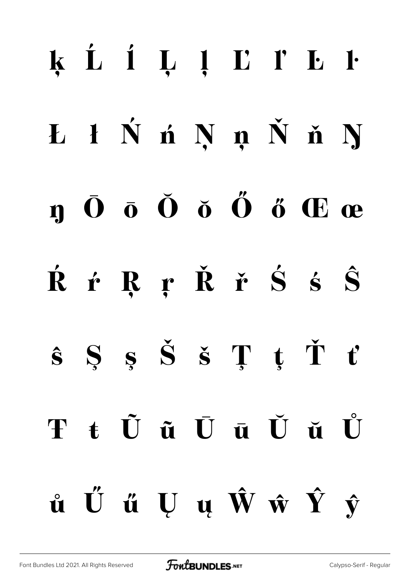# ķ Ĺ ĺ Ļ ļ Ľ ľ Ŀ ŀ Ł ł Ń ń Ņ ņ Ň ň Ŋ  $\mathbf n$   $\bar{\mathbf 0}$   $\bar{\mathbf 0}$   $\bar{\mathbf 0}$   $\tilde{\mathbf 0}$   $\tilde{\mathbf 0}$   $\tilde{\mathbf 0}$   $\tilde{\mathbf 0}$   $\tilde{\mathbf 0}$   $\mathbf 0$   $\mathbf 0$   $\mathbf 0$ Ŕ ŕ Ŗ ŗ Ř ř Ś ś Ŝ  $\hat{\mathbf{s}}$  Ş  $\hat{\mathbf{s}}$   $\check{\mathbf{s}}$   $\mathbf{T}$   $\mathbf{t}$   $\check{\mathbf{T}}$   $\mathbf{t}'$ Ŧ ŧ Ũ ũ Ū ū Ŭ ŭ Ů ů Ű ű Ų ų Ŵ ŵ Ŷ ŷ